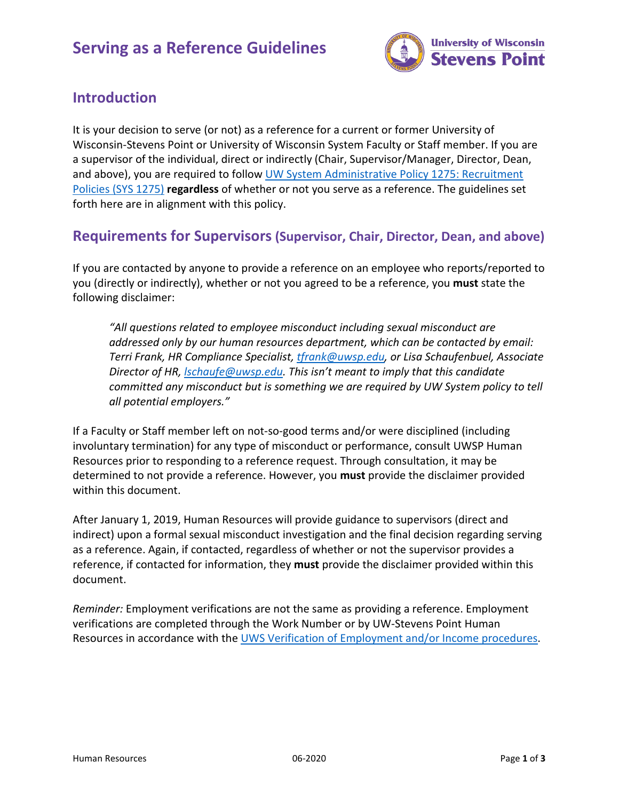

# **Introduction**

It is your decision to serve (or not) as a reference for a current or former University of Wisconsin-Stevens Point or University of Wisconsin System Faculty or Staff member. If you are a supervisor of the individual, direct or indirectly (Chair, Supervisor/Manager, Director, Dean, and above), you are required to follow [UW System Administrative Policy 1275: Recruitment](https://www.wisconsin.edu/uw-policies/uw-system-administrative-policies/recruitment-policies/)  [Policies \(SYS 1275\)](https://www.wisconsin.edu/uw-policies/uw-system-administrative-policies/recruitment-policies/) **regardless** of whether or not you serve as a reference. The guidelines set forth here are in alignment with this policy.

### **Requirements for Supervisors (Supervisor, Chair, Director, Dean, and above)**

If you are contacted by anyone to provide a reference on an employee who reports/reported to you (directly or indirectly), whether or not you agreed to be a reference, you **must** state the following disclaimer:

*"All questions related to employee misconduct including sexual misconduct are addressed only by our human resources department, which can be contacted by email: Terri Frank, HR Compliance Specialist[, tfrank@uwsp.edu,](mailto:tfrank@uwsp.edu) or Lisa Schaufenbuel, Associate Director of HR, [lschaufe@uwsp.edu.](mailto:lschaufe@uwsp.edu) This isn't meant to imply that this candidate committed any misconduct but is something we are required by UW System policy to tell all potential employers."*

If a Faculty or Staff member left on not-so-good terms and/or were disciplined (including involuntary termination) for any type of misconduct or performance, consult UWSP Human Resources prior to responding to a reference request. Through consultation, it may be determined to not provide a reference. However, you **must** provide the disclaimer provided within this document.

After January 1, 2019, Human Resources will provide guidance to supervisors (direct and indirect) upon a formal sexual misconduct investigation and the final decision regarding serving as a reference. Again, if contacted, regardless of whether or not the supervisor provides a reference, if contacted for information, they **must** provide the disclaimer provided within this document.

*Reminder:* Employment verifications are not the same as providing a reference. Employment verifications are completed through the Work Number or by UW-Stevens Point Human Resources in accordance with the [UWS Verification of Employment and/or Income procedures.](https://uwservice.wisconsin.edu/voe/employee/)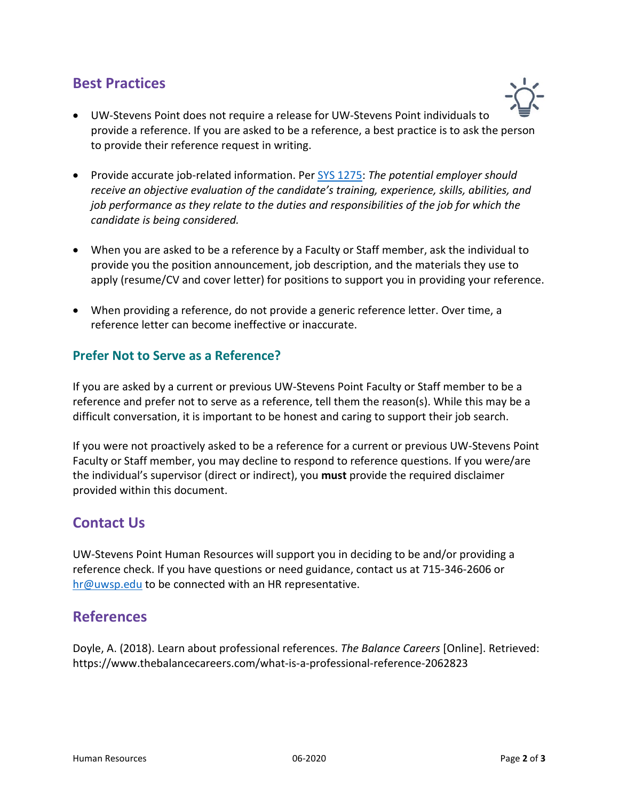## **Best Practices**



- UW-Stevens Point does not require a release for UW-Stevens Point individuals to provide a reference. If you are asked to be a reference, a best practice is to ask the person to provide their reference request in writing.
- Provide accurate job-related information. Per [SYS 1275:](https://www.wisconsin.edu/uw-policies/uw-system-administrative-policies/recruitment-policies/) *The potential employer should receive an objective evaluation of the candidate's training, experience, skills, abilities, and job performance as they relate to the duties and responsibilities of the job for which the candidate is being considered.*
- When you are asked to be a reference by a Faculty or Staff member, ask the individual to provide you the position announcement, job description, and the materials they use to apply (resume/CV and cover letter) for positions to support you in providing your reference.
- When providing a reference, do not provide a generic reference letter. Over time, a reference letter can become ineffective or inaccurate.

#### **Prefer Not to Serve as a Reference?**

If you are asked by a current or previous UW-Stevens Point Faculty or Staff member to be a reference and prefer not to serve as a reference, tell them the reason(s). While this may be a difficult conversation, it is important to be honest and caring to support their job search.

If you were not proactively asked to be a reference for a current or previous UW-Stevens Point Faculty or Staff member, you may decline to respond to reference questions. If you were/are the individual's supervisor (direct or indirect), you **must** provide the required disclaimer provided within this document.

### **Contact Us**

UW-Stevens Point Human Resources will support you in deciding to be and/or providing a reference check. If you have questions or need guidance, contact us at 715-346-2606 or [hr@uwsp.edu](mailto:hr@uwsp.edu) to be connected with an HR representative.

## **References**

Doyle, A. (2018). Learn about professional references. *The Balance Careers* [Online]. Retrieved: https://www.thebalancecareers.com/what-is-a-professional-reference-2062823